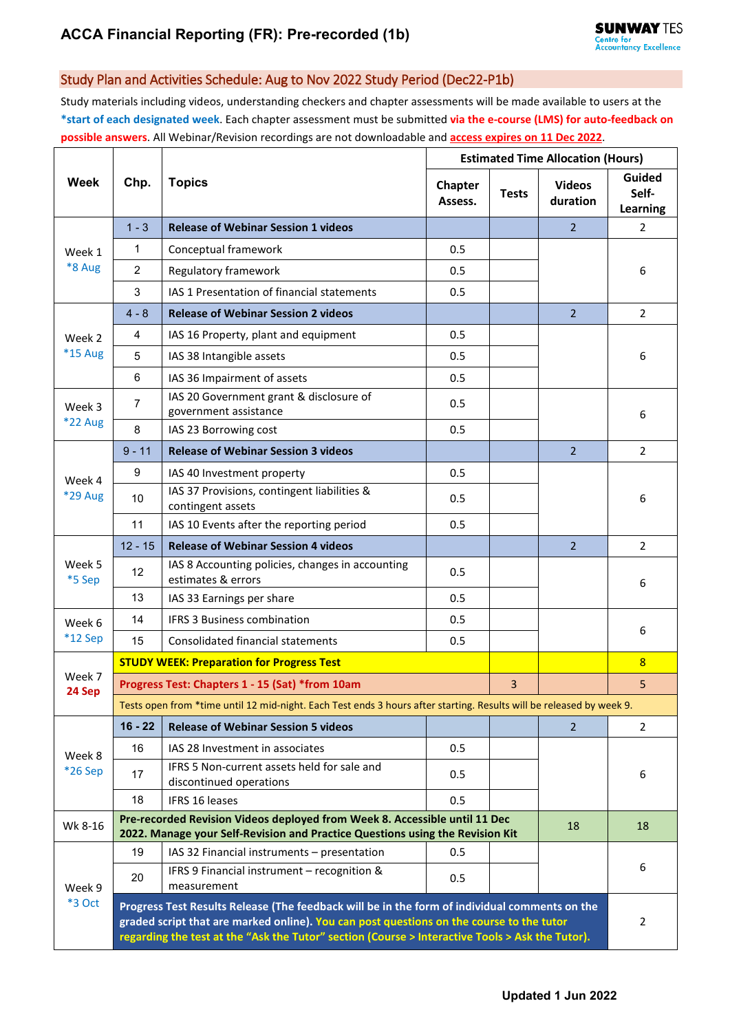## Study Plan and Activities Schedule: Aug to Nov 2022 Study Period (Dec22-P1b)

Study materials including videos, understanding checkers and chapter assessments will be made available to users at the **\*start of each designated week**. Each chapter assessment must be submitted **via the e-course (LMS) for auto-feedback on possible answers**. All Webinar/Revision recordings are not downloadable and **access expires on 11 Dec 2022**.

| Week                     | Chp.                                                                                                                                                                                                                                                                                         | <b>Topics</b>                                                          | <b>Estimated Time Allocation (Hours)</b> |              |                           |                             |  |  |
|--------------------------|----------------------------------------------------------------------------------------------------------------------------------------------------------------------------------------------------------------------------------------------------------------------------------------------|------------------------------------------------------------------------|------------------------------------------|--------------|---------------------------|-----------------------------|--|--|
|                          |                                                                                                                                                                                                                                                                                              |                                                                        | Chapter<br>Assess.                       | <b>Tests</b> | <b>Videos</b><br>duration | Guided<br>Self-<br>Learning |  |  |
| Week 1<br>*8 Aug         | $1 - 3$                                                                                                                                                                                                                                                                                      | <b>Release of Webinar Session 1 videos</b>                             |                                          |              | $\overline{2}$            | 2                           |  |  |
|                          | 1                                                                                                                                                                                                                                                                                            | Conceptual framework                                                   | 0.5                                      |              |                           |                             |  |  |
|                          | $\overline{2}$                                                                                                                                                                                                                                                                               | Regulatory framework                                                   | 0.5                                      |              |                           | 6                           |  |  |
|                          | 3                                                                                                                                                                                                                                                                                            | IAS 1 Presentation of financial statements                             | 0.5                                      |              |                           |                             |  |  |
|                          | $4 - 8$                                                                                                                                                                                                                                                                                      | <b>Release of Webinar Session 2 videos</b>                             |                                          |              | 2 <sup>1</sup>            | $\overline{2}$              |  |  |
| Week 2<br><b>*15 Aug</b> | 4                                                                                                                                                                                                                                                                                            | IAS 16 Property, plant and equipment                                   | 0.5                                      |              |                           | 6                           |  |  |
|                          | 5                                                                                                                                                                                                                                                                                            | IAS 38 Intangible assets                                               | 0.5                                      |              |                           |                             |  |  |
|                          | 6                                                                                                                                                                                                                                                                                            | IAS 36 Impairment of assets                                            | 0.5                                      |              |                           |                             |  |  |
| Week 3<br>*22 Aug        | 7                                                                                                                                                                                                                                                                                            | IAS 20 Government grant & disclosure of<br>government assistance       | 0.5                                      |              |                           | 6                           |  |  |
|                          | 8                                                                                                                                                                                                                                                                                            | IAS 23 Borrowing cost                                                  | 0.5                                      |              |                           |                             |  |  |
|                          | $9 - 11$                                                                                                                                                                                                                                                                                     | <b>Release of Webinar Session 3 videos</b>                             |                                          |              | $\overline{2}$            | $\overline{2}$              |  |  |
| Week 4                   | 9                                                                                                                                                                                                                                                                                            | IAS 40 Investment property                                             | 0.5                                      |              |                           | 6                           |  |  |
| *29 Aug                  | 10                                                                                                                                                                                                                                                                                           | IAS 37 Provisions, contingent liabilities &<br>contingent assets       | 0.5                                      |              |                           |                             |  |  |
|                          | 11                                                                                                                                                                                                                                                                                           | IAS 10 Events after the reporting period                               | 0.5                                      |              |                           |                             |  |  |
| Week 5<br>*5 Sep         | $12 - 15$                                                                                                                                                                                                                                                                                    | <b>Release of Webinar Session 4 videos</b>                             |                                          |              | $\overline{2}$            | $\overline{2}$              |  |  |
|                          | 12                                                                                                                                                                                                                                                                                           | IAS 8 Accounting policies, changes in accounting<br>estimates & errors | 0.5                                      |              |                           | 6                           |  |  |
|                          | 13                                                                                                                                                                                                                                                                                           | IAS 33 Earnings per share                                              | 0.5                                      |              |                           |                             |  |  |
| Week 6                   | 14                                                                                                                                                                                                                                                                                           | <b>IFRS 3 Business combination</b>                                     | 0.5                                      |              |                           | 6                           |  |  |
| $*12$ Sep                | 15                                                                                                                                                                                                                                                                                           | Consolidated financial statements                                      | 0.5                                      |              |                           |                             |  |  |
| Week 7<br>24 Sep         | <b>STUDY WEEK: Preparation for Progress Test</b>                                                                                                                                                                                                                                             |                                                                        |                                          |              |                           | 8                           |  |  |
|                          | Progress Test: Chapters 1 - 15 (Sat) *from 10am<br>3                                                                                                                                                                                                                                         |                                                                        |                                          |              |                           | 5                           |  |  |
|                          | Tests open from *time until 12 mid-night. Each Test ends 3 hours after starting. Results will be released by week 9.                                                                                                                                                                         |                                                                        |                                          |              |                           |                             |  |  |
| Week 8<br>*26 Sep        | $16 - 22$                                                                                                                                                                                                                                                                                    | <b>Release of Webinar Session 5 videos</b>                             |                                          |              | $\overline{2}$            | 2                           |  |  |
|                          | 16                                                                                                                                                                                                                                                                                           | IAS 28 Investment in associates                                        | 0.5                                      |              |                           | 6                           |  |  |
|                          | 17                                                                                                                                                                                                                                                                                           | IFRS 5 Non-current assets held for sale and<br>discontinued operations | 0.5                                      |              |                           |                             |  |  |
|                          | 18                                                                                                                                                                                                                                                                                           | <b>IFRS 16 leases</b>                                                  | 0.5                                      |              |                           |                             |  |  |
| Wk 8-16                  | Pre-recorded Revision Videos deployed from Week 8. Accessible until 11 Dec<br>18<br>2022. Manage your Self-Revision and Practice Questions using the Revision Kit                                                                                                                            |                                                                        |                                          |              |                           |                             |  |  |
| Week 9<br><b>*3 Oct</b>  | 19                                                                                                                                                                                                                                                                                           | IAS 32 Financial instruments - presentation                            | 0.5                                      |              |                           |                             |  |  |
|                          | 20                                                                                                                                                                                                                                                                                           | IFRS 9 Financial instrument - recognition &<br>measurement             | 0.5                                      |              |                           | 6                           |  |  |
|                          | Progress Test Results Release (The feedback will be in the form of individual comments on the<br>graded script that are marked online). You can post questions on the course to the tutor<br>regarding the test at the "Ask the Tutor" section (Course > Interactive Tools > Ask the Tutor). |                                                                        |                                          |              |                           |                             |  |  |